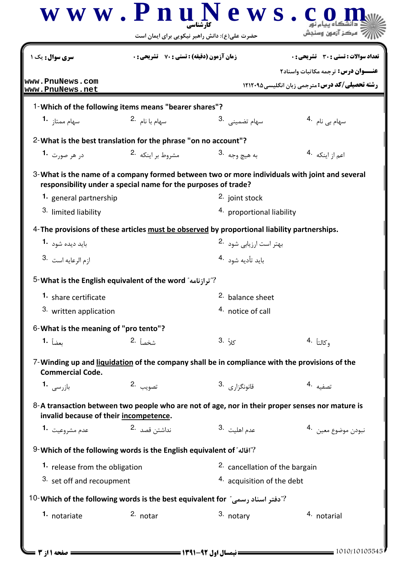|                                                | حضرت علی(ع): دانش راهبر نیکویی برای ایمان است                                                                                                                   |                                             |                                                                                  |
|------------------------------------------------|-----------------------------------------------------------------------------------------------------------------------------------------------------------------|---------------------------------------------|----------------------------------------------------------------------------------|
| <b>سری سوال :</b> یک ۱                         | <b>زمان آزمون (دقیقه) : تستی : 70 ٪ تشریحی: 0</b>                                                                                                               |                                             | <b>تعداد سوالات : تستی : 30 ٪ تشریحی : 0</b><br>عنوان درس: ترجمه مكاتبات واسناد٢ |
| www.PnuNews.com<br>www.PnuNews.net             |                                                                                                                                                                 |                                             | <b>رشته تحصیلی/کد درس: مترجمی زبان انگلیسی4۲۱۲۰۹۵</b>                            |
|                                                | 1-Which of the following items means "bearer shares"?                                                                                                           |                                             |                                                                                  |
| سهام ممتاز <b>1</b> ۰                          | سهام با نام 2.                                                                                                                                                  | سهام تضمينى .3                              | سهام بی نام <sup>4</sup> ۰                                                       |
|                                                | 2-What is the best translation for the phrase "on no account"?                                                                                                  |                                             |                                                                                  |
| د <sub>ا</sub> هر صورت <b>1</b> ۰              | مشروط بر اینکه 2.                                                                                                                                               | به هيچ <sub>و</sub> جه .3                   | اعم از اینکه <sup>4</sup> ۰                                                      |
| 1. general partnership<br>3. limited liability | 3-What is the name of a company formed between two or more individuals with joint and several<br>responsibility under a special name for the purposes of trade? | 2. joint stock<br>4. proportional liability |                                                                                  |
|                                                | 4-The provisions of these articles must be observed by proportional liability partnerships.                                                                     |                                             |                                                                                  |
| باید دیده شود <sup>-1</sup>                    |                                                                                                                                                                 | بهتر است ارزيابي شود 2.                     |                                                                                  |
| 3. ازم الرعايه است                             |                                                                                                                                                                 | بايد تأديه شود 4.                           |                                                                                  |
|                                                | <sup>5</sup> - What is the English equivalent of the word "ترازنامه"                                                                                            |                                             |                                                                                  |
| 1. share certificate                           |                                                                                                                                                                 | <sup>2.</sup> balance sheet                 |                                                                                  |
| <sup>3.</sup> written application              |                                                                                                                                                                 | 4. notice of call                           |                                                                                  |
| 6-What is the meaning of "pro tento"?          |                                                                                                                                                                 |                                             |                                                                                  |
| بعضاً <b>1.</b>                                | 2. شخصاً                                                                                                                                                        | كلاً .3                                     | 4. وكالتاً                                                                       |
| <b>Commercial Code.</b>                        | 7-Winding up and liquidation of the company shall be in compliance with the provisions of the                                                                   |                                             |                                                                                  |
| بازرسى 1.                                      | تصويب 2.                                                                                                                                                        | قانونگزا <sub>رى</sub> .3                   | تصفيه .4                                                                         |
| invalid because of their incompetence.         | 8-A transaction between two people who are not of age, nor in their proper senses nor mature is                                                                 |                                             |                                                                                  |
| عدم مشروعيت <b>1.</b>                          | نداشتن قصد 2.                                                                                                                                                   | عدم اهليت <sup>.3</sup>                     | نبودن موضوع معين 4.                                                              |
|                                                | 9- Which of the following words is the English equivalent of "آقاله" 9- Which of the following words is the English equivalent of                               |                                             |                                                                                  |
| 1. release from the obligation                 |                                                                                                                                                                 | 2. cancellation of the bargain              |                                                                                  |
| 3. set off and recoupment                      |                                                                                                                                                                 | 4. acquisition of the debt                  |                                                                                  |
|                                                | 10- Which of the following words is the best equivalent for "دفتر اسناد رسمى"                                                                                   |                                             |                                                                                  |
| 1. notariate                                   | 2. notar                                                                                                                                                        | 3. notary                                   | 4. notarial                                                                      |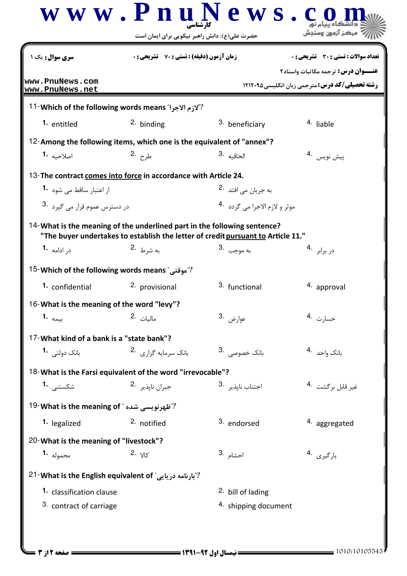| <b>سری سوال :</b> یک ۱                                                | <b>زمان آزمون (دقیقه) : تستی : 70 ٪ تشریحی: 0</b><br>تعداد سوالات : تستى : 30 ٪ تشريحي : 0                                                                    |                                           |                                                                                             |  |
|-----------------------------------------------------------------------|---------------------------------------------------------------------------------------------------------------------------------------------------------------|-------------------------------------------|---------------------------------------------------------------------------------------------|--|
| www.PnuNews.com<br>www.PnuNews.net                                    |                                                                                                                                                               |                                           | عنــوان درس: ترجمه مكاتبات واسناد٢<br><b>رشته تحصیلی/کد درس: مترجمی زبان انگلیسی 121200</b> |  |
|                                                                       | <sup>11</sup> - Which of the following words means "لازم الاجرا"?                                                                                             |                                           |                                                                                             |  |
| <sup>1.</sup> entitled                                                | 2. binding                                                                                                                                                    | 3. beneficiary                            | 4. liable                                                                                   |  |
|                                                                       | 12-Among the following items, which one is the equivalent of "annex"?                                                                                         |                                           |                                                                                             |  |
| اصلاحيه <b>1.</b>                                                     | طرح .2                                                                                                                                                        | 3. الحاقيه                                | پیش نویس 4.                                                                                 |  |
|                                                                       | 13-The contract comes into force in accordance with Article 24.                                                                                               |                                           |                                                                                             |  |
| از اعتبار ساقط می شود 1.                                              |                                                                                                                                                               | به جريان <sub>مي افتد</sub> 2.            |                                                                                             |  |
| در دسترس عموم قرار می گیرد <sup>.3</sup>                              |                                                                                                                                                               | موثر و لازم الاجرا مي گردد <sup>4</sup> ۰ |                                                                                             |  |
|                                                                       | 14- What is the meaning of the underlined part in the following sentence?<br>"The buyer undertakes to establish the letter of credit pursuant to Article 11." |                                           |                                                                                             |  |
| د <sub>ر</sub> ادامه <b>1</b> ۰                                       | به شرط <sup>.2</sup>                                                                                                                                          | به موجب   .3                              | در برابر 4.                                                                                 |  |
| <sup>15</sup> - Which of the following words means <i>"م</i> وقتى"?   |                                                                                                                                                               |                                           |                                                                                             |  |
| 1. confidential                                                       | 2. provisional                                                                                                                                                | 3. functional                             | 4. approval                                                                                 |  |
| 16-What is the meaning of the word "levy"?                            |                                                                                                                                                               |                                           |                                                                                             |  |
| بيمه <b>.1</b>                                                        | 2. ماليات                                                                                                                                                     | عوارض .3                                  | خسارت .4                                                                                    |  |
| 17-What kind of a bank is a "state bank"?                             |                                                                                                                                                               |                                           |                                                                                             |  |
| بانک دولتے , 1                                                        | بانک سرمایه گزا <sub>د</sub> ی <sup>.2</sup>                                                                                                                  | بانک خصوصی .3                             | 4. بانک واحد                                                                                |  |
|                                                                       | 18-What is the Farsi equivalent of the word "irrevocable"?                                                                                                    |                                           |                                                                                             |  |
| شکستن <i>ے,</i> 1 <b>۰</b>                                            | جبران نايذير <sup>.2</sup>                                                                                                                                    | 3. اجتناب نايذير                          | غير قابل برگشت <sup>.4</sup>                                                                |  |
| <sup>19</sup> - للهرنويسي شده " <sup>19</sup> What is the meaning of؟ |                                                                                                                                                               |                                           |                                                                                             |  |
| 1. legalized                                                          | <sup>2.</sup> notified                                                                                                                                        | 3. endorsed                               | 4. aggregated                                                                               |  |
| 20-What is the meaning of "livestock"?                                |                                                                                                                                                               |                                           |                                                                                             |  |
| <b>1.</b> محموله                                                      | 2. <sub>א</sub> لا                                                                                                                                            | 3. احشام                                  | بارگیری 4.                                                                                  |  |
| 21- What is the English equivalent of "بارنامه دريايي"                |                                                                                                                                                               |                                           |                                                                                             |  |
| 1. classification clause                                              |                                                                                                                                                               | <sup>2.</sup> bill of lading              |                                                                                             |  |
| 3. contract of carriage                                               |                                                                                                                                                               | 4. shipping document                      |                                                                                             |  |

 $\overline{a}$   $\overline{a}$ 

 $\mathbf T$